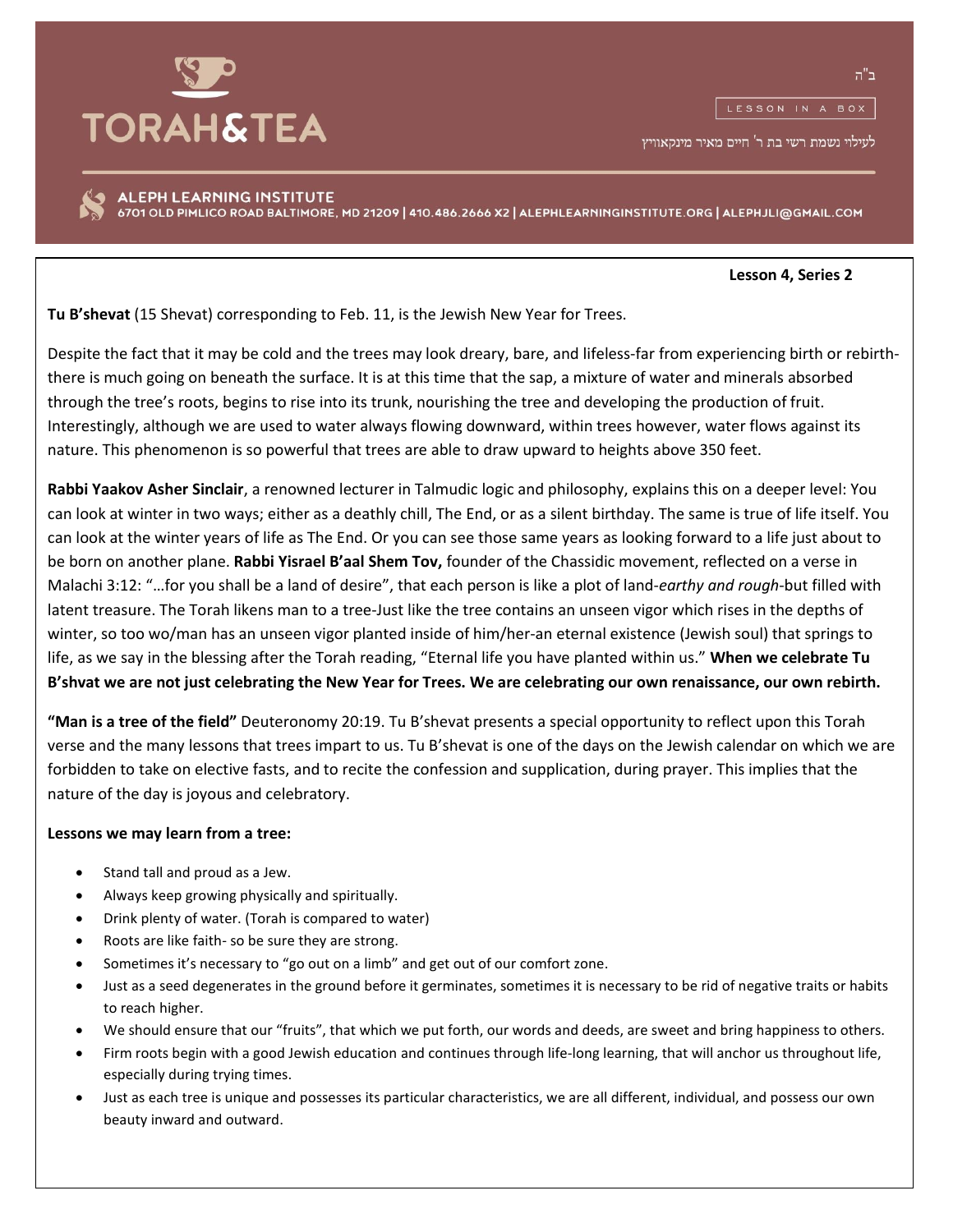

לעילוי נשמת רשי בת ר' חיים מאיר מינקאוויץ

ALEPH LEARNING INSTITUTE 6701 OLD PIMLICO ROAD BALTIMORE, MD 21209 | 410.486.2666 X2 | ALEPHLEARNINGINSTITUTE.ORG | ALEPHJLI@GMAIL.COM

## **Lesson 4, Series 2**

**Tu B'shevat** (15 Shevat) corresponding to Feb. 11, is the Jewish New Year for Trees.

Despite the fact that it may be cold and the trees may look dreary, bare, and lifeless-far from experiencing birth or rebirththere is much going on beneath the surface. It is at this time that the sap, a mixture of water and minerals absorbed through the tree's roots, begins to rise into its trunk, nourishing the tree and developing the production of fruit. Interestingly, although we are used to water always flowing downward, within trees however, water flows against its nature. This phenomenon is so powerful that trees are able to draw upward to heights above 350 feet.

**Rabbi Yaakov Asher Sinclair**, a renowned lecturer in Talmudic logic and philosophy, explains this on a deeper level: You can look at winter in two ways; either as a deathly chill, The End, or as a silent birthday. The same is true of life itself. You can look at the winter years of life as The End. Or you can see those same years as looking forward to a life just about to be born on another plane. **Rabbi Yisrael B'aal Shem Tov,** founder of the Chassidic movement, reflected on a verse in Malachi 3:12: "…for you shall be a land of desire", that each person is like a plot of land-*earthy and rough*-but filled with latent treasure. The Torah likens man to a tree-Just like the tree contains an unseen vigor which rises in the depths of winter, so too wo/man has an unseen vigor planted inside of him/her-an eternal existence (Jewish soul) that springs to life, as we say in the blessing after the Torah reading, "Eternal life you have planted within us." **When we celebrate Tu B'shvat we are not just celebrating the New Year for Trees. We are celebrating our own renaissance, our own rebirth.**

**"Man is a tree of the field"** Deuteronomy 20:19. Tu B'shevat presents a special opportunity to reflect upon this Torah verse and the many lessons that trees impart to us. Tu B'shevat is one of the days on the Jewish calendar on which we are forbidden to take on elective fasts, and to recite the confession and supplication, during prayer. This implies that the nature of the day is joyous and celebratory.

## **Lessons we may learn from a tree:**

- Stand tall and proud as a Jew.
- Always keep growing physically and spiritually.
- Drink plenty of water. (Torah is compared to water)
- Roots are like faith- so be sure they are strong.
- Sometimes it's necessary to "go out on a limb" and get out of our comfort zone.
- Just as a seed degenerates in the ground before it germinates, sometimes it is necessary to be rid of negative traits or habits to reach higher.
- We should ensure that our "fruits", that which we put forth, our words and deeds, are sweet and bring happiness to others.
- Firm roots begin with a good Jewish education and continues through life-long learning, that will anchor us throughout life, especially during trying times.
- Just as each tree is unique and possesses its particular characteristics, we are all different, individual, and possess our own beauty inward and outward.